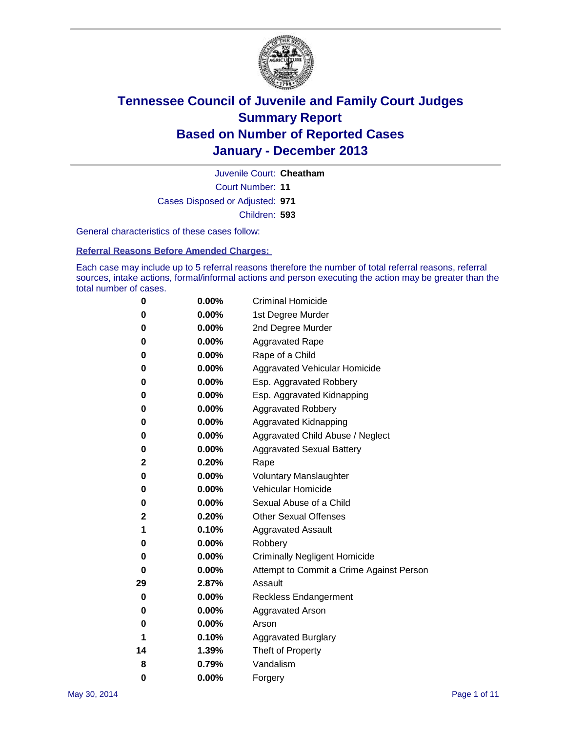

Court Number: **11** Juvenile Court: **Cheatham** Cases Disposed or Adjusted: **971** Children: **593**

General characteristics of these cases follow:

**Referral Reasons Before Amended Charges:** 

Each case may include up to 5 referral reasons therefore the number of total referral reasons, referral sources, intake actions, formal/informal actions and person executing the action may be greater than the total number of cases.

| 0  | 0.00%    | <b>Criminal Homicide</b>                 |
|----|----------|------------------------------------------|
| 0  | 0.00%    | 1st Degree Murder                        |
| 0  | 0.00%    | 2nd Degree Murder                        |
| 0  | $0.00\%$ | <b>Aggravated Rape</b>                   |
| 0  | 0.00%    | Rape of a Child                          |
| 0  | 0.00%    | <b>Aggravated Vehicular Homicide</b>     |
| 0  | $0.00\%$ | Esp. Aggravated Robbery                  |
| 0  | 0.00%    | Esp. Aggravated Kidnapping               |
| 0  | 0.00%    | <b>Aggravated Robbery</b>                |
| 0  | 0.00%    | Aggravated Kidnapping                    |
| 0  | 0.00%    | Aggravated Child Abuse / Neglect         |
| 0  | 0.00%    | <b>Aggravated Sexual Battery</b>         |
| 2  | 0.20%    | Rape                                     |
| 0  | 0.00%    | <b>Voluntary Manslaughter</b>            |
| 0  | 0.00%    | Vehicular Homicide                       |
| 0  | 0.00%    | Sexual Abuse of a Child                  |
| 2  | 0.20%    | <b>Other Sexual Offenses</b>             |
| 1  | 0.10%    | <b>Aggravated Assault</b>                |
| 0  | 0.00%    | Robbery                                  |
| 0  | 0.00%    | <b>Criminally Negligent Homicide</b>     |
| 0  | 0.00%    | Attempt to Commit a Crime Against Person |
| 29 | 2.87%    | Assault                                  |
| 0  | 0.00%    | <b>Reckless Endangerment</b>             |
| 0  | 0.00%    | <b>Aggravated Arson</b>                  |
| 0  | $0.00\%$ | Arson                                    |
| 1  | 0.10%    | <b>Aggravated Burglary</b>               |
| 14 | 1.39%    | Theft of Property                        |
| 8  | 0.79%    | Vandalism                                |
| 0  | 0.00%    | Forgery                                  |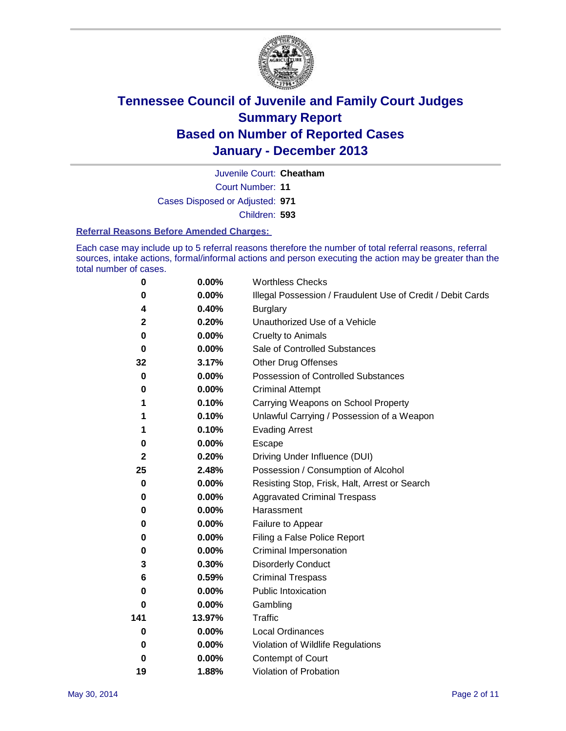

Court Number: **11** Juvenile Court: **Cheatham** Cases Disposed or Adjusted: **971** Children: **593**

#### **Referral Reasons Before Amended Charges:**

Each case may include up to 5 referral reasons therefore the number of total referral reasons, referral sources, intake actions, formal/informal actions and person executing the action may be greater than the total number of cases.

| 0           | 0.00%    | <b>Worthless Checks</b>                                     |
|-------------|----------|-------------------------------------------------------------|
| 0           | 0.00%    | Illegal Possession / Fraudulent Use of Credit / Debit Cards |
| 4           | 0.40%    | <b>Burglary</b>                                             |
| $\mathbf 2$ | 0.20%    | Unauthorized Use of a Vehicle                               |
| 0           | 0.00%    | <b>Cruelty to Animals</b>                                   |
| $\bf{0}$    | 0.00%    | Sale of Controlled Substances                               |
| 32          | 3.17%    | <b>Other Drug Offenses</b>                                  |
| $\mathbf 0$ | 0.00%    | Possession of Controlled Substances                         |
| 0           | 0.00%    | <b>Criminal Attempt</b>                                     |
| 1           | 0.10%    | Carrying Weapons on School Property                         |
| 1           | 0.10%    | Unlawful Carrying / Possession of a Weapon                  |
| 1           | 0.10%    | <b>Evading Arrest</b>                                       |
| 0           | 0.00%    | Escape                                                      |
| $\mathbf 2$ | 0.20%    | Driving Under Influence (DUI)                               |
| 25          | 2.48%    | Possession / Consumption of Alcohol                         |
| 0           | 0.00%    | Resisting Stop, Frisk, Halt, Arrest or Search               |
| 0           | 0.00%    | <b>Aggravated Criminal Trespass</b>                         |
| 0           | $0.00\%$ | Harassment                                                  |
| 0           | 0.00%    | Failure to Appear                                           |
| 0           | 0.00%    | Filing a False Police Report                                |
| 0           | 0.00%    | Criminal Impersonation                                      |
| 3           | 0.30%    | <b>Disorderly Conduct</b>                                   |
| 6           | 0.59%    | <b>Criminal Trespass</b>                                    |
| 0           | 0.00%    | <b>Public Intoxication</b>                                  |
| 0           | 0.00%    | Gambling                                                    |
| 141         | 13.97%   | Traffic                                                     |
| $\bf{0}$    | $0.00\%$ | <b>Local Ordinances</b>                                     |
| 0           | 0.00%    | Violation of Wildlife Regulations                           |
| 0           | 0.00%    | Contempt of Court                                           |
| 19          | 1.88%    | Violation of Probation                                      |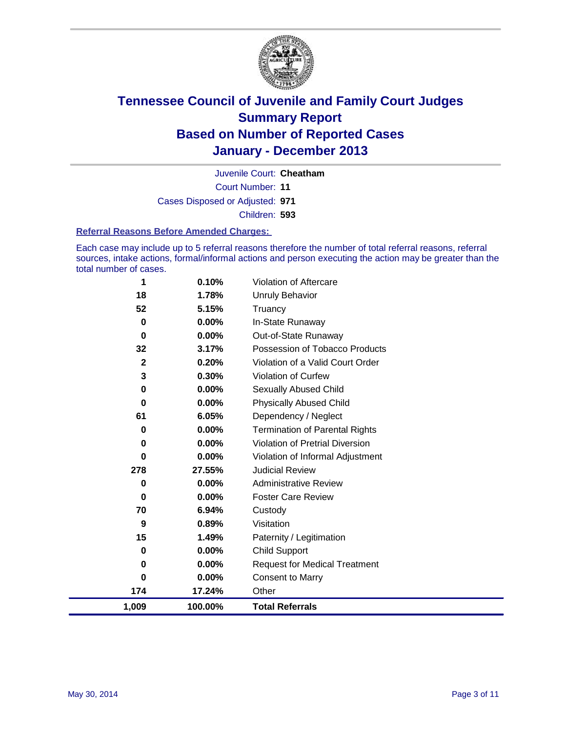

Court Number: **11** Juvenile Court: **Cheatham** Cases Disposed or Adjusted: **971** Children: **593**

#### **Referral Reasons Before Amended Charges:**

Each case may include up to 5 referral reasons therefore the number of total referral reasons, referral sources, intake actions, formal/informal actions and person executing the action may be greater than the total number of cases.

| 1            | 0.10%    | <b>Violation of Aftercare</b>          |
|--------------|----------|----------------------------------------|
| 18           | 1.78%    | <b>Unruly Behavior</b>                 |
| 52           | 5.15%    | Truancy                                |
| 0            | $0.00\%$ | In-State Runaway                       |
| $\bf{0}$     | $0.00\%$ | Out-of-State Runaway                   |
| 32           | 3.17%    | Possession of Tobacco Products         |
| $\mathbf{2}$ | 0.20%    | Violation of a Valid Court Order       |
| 3            | 0.30%    | <b>Violation of Curfew</b>             |
| 0            | $0.00\%$ | Sexually Abused Child                  |
| 0            | 0.00%    | <b>Physically Abused Child</b>         |
| 61           | 6.05%    | Dependency / Neglect                   |
| 0            | 0.00%    | <b>Termination of Parental Rights</b>  |
| 0            | $0.00\%$ | <b>Violation of Pretrial Diversion</b> |
| 0            | 0.00%    | Violation of Informal Adjustment       |
| 278          | 27.55%   | <b>Judicial Review</b>                 |
| 0            | 0.00%    | <b>Administrative Review</b>           |
| 0            | 0.00%    | <b>Foster Care Review</b>              |
| 70           | 6.94%    | Custody                                |
| 9            | 0.89%    | Visitation                             |
| 15           | 1.49%    | Paternity / Legitimation               |
| 0            | 0.00%    | <b>Child Support</b>                   |
| 0            | 0.00%    | <b>Request for Medical Treatment</b>   |
| 0            | 0.00%    | <b>Consent to Marry</b>                |
| 174          | 17.24%   | Other                                  |
| 1,009        | 100.00%  | <b>Total Referrals</b>                 |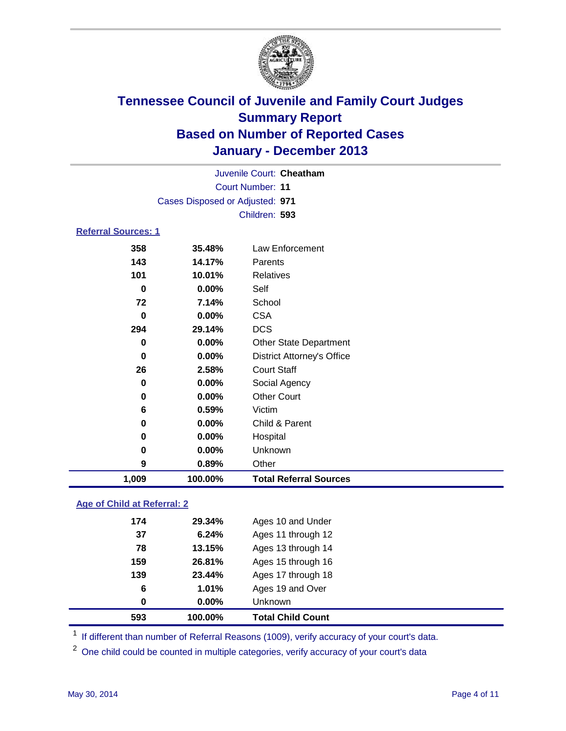

|                            |                                 | Juvenile Court: Cheatham          |  |  |
|----------------------------|---------------------------------|-----------------------------------|--|--|
|                            | <b>Court Number: 11</b>         |                                   |  |  |
|                            | Cases Disposed or Adjusted: 971 |                                   |  |  |
|                            |                                 | Children: 593                     |  |  |
| <b>Referral Sources: 1</b> |                                 |                                   |  |  |
| 358                        | 35.48%                          | Law Enforcement                   |  |  |
| 143                        | 14.17%                          | Parents                           |  |  |
| 101                        | 10.01%                          | <b>Relatives</b>                  |  |  |
| 0                          | 0.00%                           | Self                              |  |  |
| 72                         | 7.14%                           | School                            |  |  |
| 0                          | 0.00%                           | <b>CSA</b>                        |  |  |
| 294                        | 29.14%                          | <b>DCS</b>                        |  |  |
| $\bf{0}$                   | 0.00%                           | <b>Other State Department</b>     |  |  |
| $\bf{0}$                   | 0.00%                           | <b>District Attorney's Office</b> |  |  |
| 26                         | 2.58%                           | <b>Court Staff</b>                |  |  |
| 0                          | 0.00%                           | Social Agency                     |  |  |
| 0                          | 0.00%                           | <b>Other Court</b>                |  |  |
| 6                          | 0.59%                           | Victim                            |  |  |
| 0                          | 0.00%                           | Child & Parent                    |  |  |
| 0                          | 0.00%                           | Hospital                          |  |  |
| 0                          | 0.00%                           | Unknown                           |  |  |
| 9                          | 0.89%                           | Other                             |  |  |
| 1,009                      | 100.00%                         | <b>Total Referral Sources</b>     |  |  |

### **Age of Child at Referral: 2**

| 593 | 100.00% | <b>Total Child Count</b> |  |
|-----|---------|--------------------------|--|
| 0   | 0.00%   | <b>Unknown</b>           |  |
| 6   | 1.01%   | Ages 19 and Over         |  |
| 139 | 23.44%  | Ages 17 through 18       |  |
| 159 | 26.81%  | Ages 15 through 16       |  |
| 78  | 13.15%  | Ages 13 through 14       |  |
| 37  | 6.24%   | Ages 11 through 12       |  |
| 174 | 29.34%  | Ages 10 and Under        |  |
|     |         |                          |  |

<sup>1</sup> If different than number of Referral Reasons (1009), verify accuracy of your court's data.

<sup>2</sup> One child could be counted in multiple categories, verify accuracy of your court's data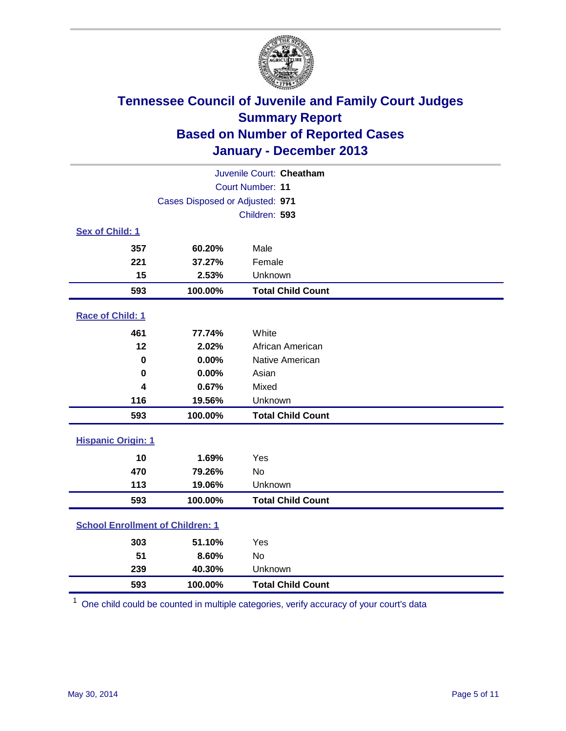

| Juvenile Court: Cheatham                |                                 |                          |  |  |
|-----------------------------------------|---------------------------------|--------------------------|--|--|
| Court Number: 11                        |                                 |                          |  |  |
|                                         | Cases Disposed or Adjusted: 971 |                          |  |  |
|                                         |                                 | Children: 593            |  |  |
| Sex of Child: 1                         |                                 |                          |  |  |
| 357                                     | 60.20%                          | Male                     |  |  |
| 221                                     | 37.27%                          | Female                   |  |  |
| 15                                      | 2.53%                           | Unknown                  |  |  |
| 593                                     | 100.00%                         | <b>Total Child Count</b> |  |  |
| Race of Child: 1                        |                                 |                          |  |  |
| 461                                     | 77.74%                          | White                    |  |  |
| 12                                      | 2.02%                           | African American         |  |  |
| $\mathbf 0$                             | 0.00%                           | Native American          |  |  |
| $\bf{0}$                                | 0.00%                           | Asian                    |  |  |
| 4                                       | 0.67%                           | Mixed                    |  |  |
| 116                                     | 19.56%                          | Unknown                  |  |  |
| 593                                     | 100.00%                         | <b>Total Child Count</b> |  |  |
| <b>Hispanic Origin: 1</b>               |                                 |                          |  |  |
| 10                                      | 1.69%                           | Yes                      |  |  |
| 470                                     | 79.26%                          | <b>No</b>                |  |  |
| 113                                     | 19.06%                          | Unknown                  |  |  |
| 593                                     | 100.00%                         | <b>Total Child Count</b> |  |  |
| <b>School Enrollment of Children: 1</b> |                                 |                          |  |  |
| 303                                     | 51.10%                          | Yes                      |  |  |
| 51                                      | 8.60%                           | <b>No</b>                |  |  |
| 239                                     | 40.30%                          | Unknown                  |  |  |
| 593                                     | 100.00%                         | <b>Total Child Count</b> |  |  |

One child could be counted in multiple categories, verify accuracy of your court's data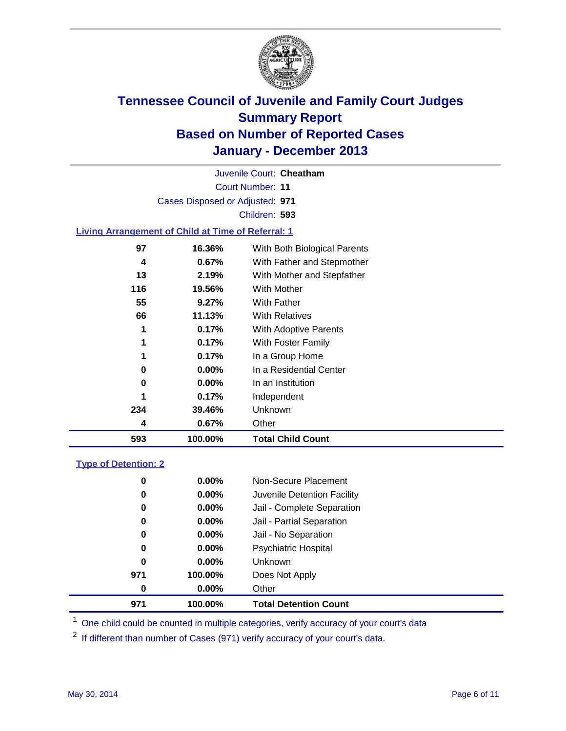

Court Number: **11** Juvenile Court: **Cheatham** Cases Disposed or Adjusted: **971** Children: **593**

### **Living Arrangement of Child at Time of Referral: 1**

| 234<br>4 | 39.46%<br>0.67% | Unknown<br>Other             |  |
|----------|-----------------|------------------------------|--|
|          |                 |                              |  |
|          |                 |                              |  |
| 1        | 0.17%           | Independent                  |  |
| 0        | 0.00%           | In an Institution            |  |
| 0        | $0.00\%$        | In a Residential Center      |  |
| 1        | 0.17%           | In a Group Home              |  |
| 1        | 0.17%           | With Foster Family           |  |
| 1        | 0.17%           | <b>With Adoptive Parents</b> |  |
| 66       | 11.13%          | <b>With Relatives</b>        |  |
| 55       | 9.27%           | With Father                  |  |
| 116      | 19.56%          | With Mother                  |  |
| 13       | 2.19%           | With Mother and Stepfather   |  |
| 4        | 0.67%           | With Father and Stepmother   |  |
| 97       | 16.36%          | With Both Biological Parents |  |
|          |                 |                              |  |

### **Type of Detention: 2**

| 971 | 100.00%  | <b>Total Detention Count</b> |  |
|-----|----------|------------------------------|--|
| 0   | $0.00\%$ | Other                        |  |
| 971 | 100.00%  | Does Not Apply               |  |
| 0   | 0.00%    | <b>Unknown</b>               |  |
| 0   | $0.00\%$ | <b>Psychiatric Hospital</b>  |  |
| 0   | 0.00%    | Jail - No Separation         |  |
| 0   | $0.00\%$ | Jail - Partial Separation    |  |
| 0   | 0.00%    | Jail - Complete Separation   |  |
| 0   | $0.00\%$ | Juvenile Detention Facility  |  |
| 0   | 0.00%    | Non-Secure Placement         |  |
|     |          |                              |  |

<sup>1</sup> One child could be counted in multiple categories, verify accuracy of your court's data

<sup>2</sup> If different than number of Cases (971) verify accuracy of your court's data.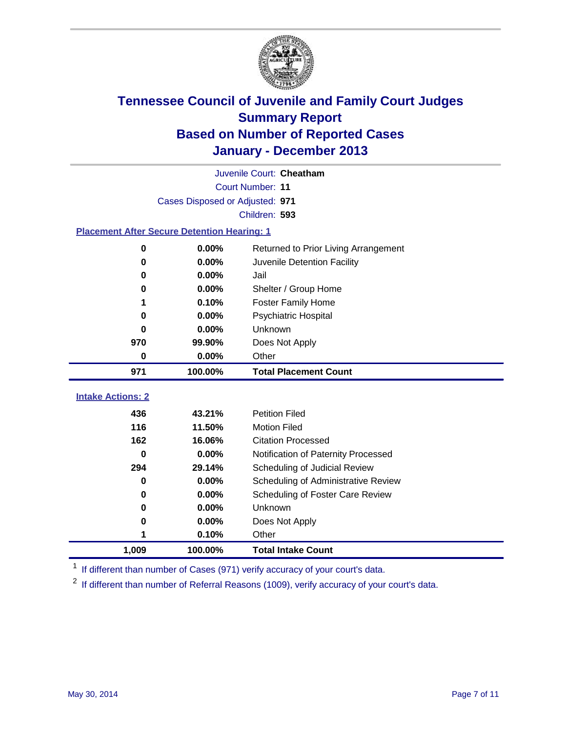

|                                                    | Juvenile Court: Cheatham        |                                      |  |  |  |  |
|----------------------------------------------------|---------------------------------|--------------------------------------|--|--|--|--|
|                                                    | Court Number: 11                |                                      |  |  |  |  |
|                                                    | Cases Disposed or Adjusted: 971 |                                      |  |  |  |  |
| Children: 593                                      |                                 |                                      |  |  |  |  |
| <b>Placement After Secure Detention Hearing: 1</b> |                                 |                                      |  |  |  |  |
| 0                                                  | 0.00%                           | Returned to Prior Living Arrangement |  |  |  |  |
| 0                                                  | 0.00%                           | Juvenile Detention Facility          |  |  |  |  |
| 0                                                  | 0.00%                           | Jail                                 |  |  |  |  |
| 0                                                  | 0.00%                           | Shelter / Group Home                 |  |  |  |  |
| 1                                                  | 0.10%                           | Foster Family Home                   |  |  |  |  |
| 0                                                  | 0.00%                           | <b>Psychiatric Hospital</b>          |  |  |  |  |
| 0                                                  | $0.00\%$                        | Unknown                              |  |  |  |  |
| 970                                                | 99.90%                          | Does Not Apply                       |  |  |  |  |
| 0                                                  | 0.00%                           | Other                                |  |  |  |  |
| 971                                                | 100.00%                         | <b>Total Placement Count</b>         |  |  |  |  |
| <b>Intake Actions: 2</b>                           |                                 |                                      |  |  |  |  |
|                                                    |                                 |                                      |  |  |  |  |
| 436                                                | 43.21%                          | <b>Petition Filed</b>                |  |  |  |  |
| 116                                                | 11.50%                          | <b>Motion Filed</b>                  |  |  |  |  |
| 162                                                | 16.06%                          | <b>Citation Processed</b>            |  |  |  |  |
| 0                                                  | 0.00%                           | Notification of Paternity Processed  |  |  |  |  |
| 294                                                | 29.14%                          | Scheduling of Judicial Review        |  |  |  |  |
| 0                                                  | 0.00%                           | Scheduling of Administrative Review  |  |  |  |  |
| 0                                                  | $0.00\%$                        | Scheduling of Foster Care Review     |  |  |  |  |
| 0                                                  | 0.00%                           | Unknown                              |  |  |  |  |
| 0                                                  | 0.00%                           | Does Not Apply                       |  |  |  |  |
| 1                                                  | 0.10%                           | Other                                |  |  |  |  |
| 1,009                                              | 100.00%                         | <b>Total Intake Count</b>            |  |  |  |  |

<sup>1</sup> If different than number of Cases (971) verify accuracy of your court's data.

<sup>2</sup> If different than number of Referral Reasons (1009), verify accuracy of your court's data.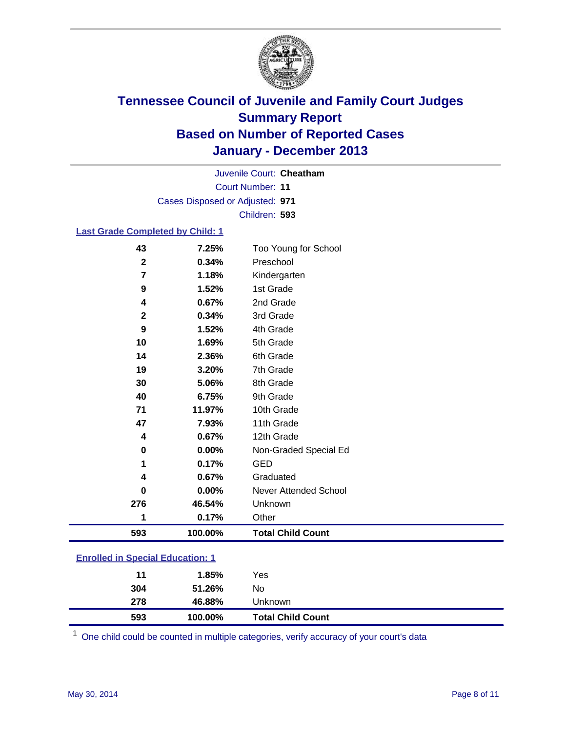

Court Number: **11** Juvenile Court: **Cheatham** Cases Disposed or Adjusted: **971** Children: **593**

### **Last Grade Completed by Child: 1**

| 593              | 100.00% | <b>Total Child Count</b>     |
|------------------|---------|------------------------------|
| 1                | 0.17%   | Other                        |
| 276              | 46.54%  | Unknown                      |
| 0                | 0.00%   | <b>Never Attended School</b> |
| 4                | 0.67%   | Graduated                    |
| 1                | 0.17%   | <b>GED</b>                   |
| 0                | 0.00%   | Non-Graded Special Ed        |
| 4                | 0.67%   | 12th Grade                   |
| 47               | 7.93%   | 11th Grade                   |
| 71               | 11.97%  | 10th Grade                   |
| 40               | 6.75%   | 9th Grade                    |
| 30               | 5.06%   | 8th Grade                    |
| 19               | 3.20%   | 7th Grade                    |
| 14               | 2.36%   | 6th Grade                    |
| 10               | 1.69%   | 5th Grade                    |
| 9                | 1.52%   | 4th Grade                    |
| $\boldsymbol{2}$ | 0.34%   | 3rd Grade                    |
| 4                | 0.67%   | 2nd Grade                    |
| 9                | 1.52%   | 1st Grade                    |
| 7                | 1.18%   | Kindergarten                 |
| $\mathbf{2}$     | 0.34%   | Preschool                    |
| 43               | 7.25%   | Too Young for School         |

| 593 | 100.00% | <b>Total Child Count</b> |  |
|-----|---------|--------------------------|--|
| 278 | 46.88%  | Unknown                  |  |
| 304 | 51.26%  | No                       |  |
| 11  | 1.85%   | Yes                      |  |
|     |         |                          |  |

One child could be counted in multiple categories, verify accuracy of your court's data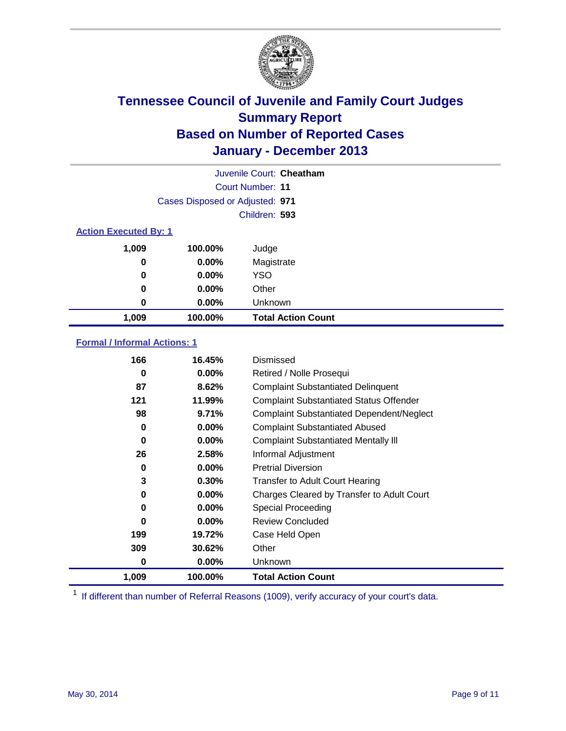

|                              |                                 | Juvenile Court: Cheatham  |
|------------------------------|---------------------------------|---------------------------|
|                              |                                 | Court Number: 11          |
|                              | Cases Disposed or Adjusted: 971 |                           |
|                              |                                 | Children: 593             |
| <b>Action Executed By: 1</b> |                                 |                           |
| 1,009                        | 100.00%                         | Judge                     |
| 0                            | $0.00\%$                        | Magistrate                |
| $\bf{0}$                     | $0.00\%$                        | <b>YSO</b>                |
| 0                            | $0.00\%$                        | Other                     |
| 0                            | $0.00\%$                        | Unknown                   |
| 1,009                        | 100.00%                         | <b>Total Action Count</b> |

### **Formal / Informal Actions: 1**

| 166      | 16.45%   | Dismissed                                        |
|----------|----------|--------------------------------------------------|
| 0        | $0.00\%$ | Retired / Nolle Prosequi                         |
| 87       | 8.62%    | <b>Complaint Substantiated Delinquent</b>        |
| 121      | 11.99%   | <b>Complaint Substantiated Status Offender</b>   |
| 98       | 9.71%    | <b>Complaint Substantiated Dependent/Neglect</b> |
| 0        | $0.00\%$ | <b>Complaint Substantiated Abused</b>            |
| $\bf{0}$ | $0.00\%$ | <b>Complaint Substantiated Mentally III</b>      |
| 26       | 2.58%    | Informal Adjustment                              |
| 0        | $0.00\%$ | <b>Pretrial Diversion</b>                        |
| 3        | 0.30%    | <b>Transfer to Adult Court Hearing</b>           |
| 0        | $0.00\%$ | Charges Cleared by Transfer to Adult Court       |
| 0        | 0.00%    | Special Proceeding                               |
| $\bf{0}$ | $0.00\%$ | <b>Review Concluded</b>                          |
| 199      | 19.72%   | Case Held Open                                   |
| 309      | 30.62%   | Other                                            |
| 0        | $0.00\%$ | Unknown                                          |
| 1,009    | 100.00%  | <b>Total Action Count</b>                        |

<sup>1</sup> If different than number of Referral Reasons (1009), verify accuracy of your court's data.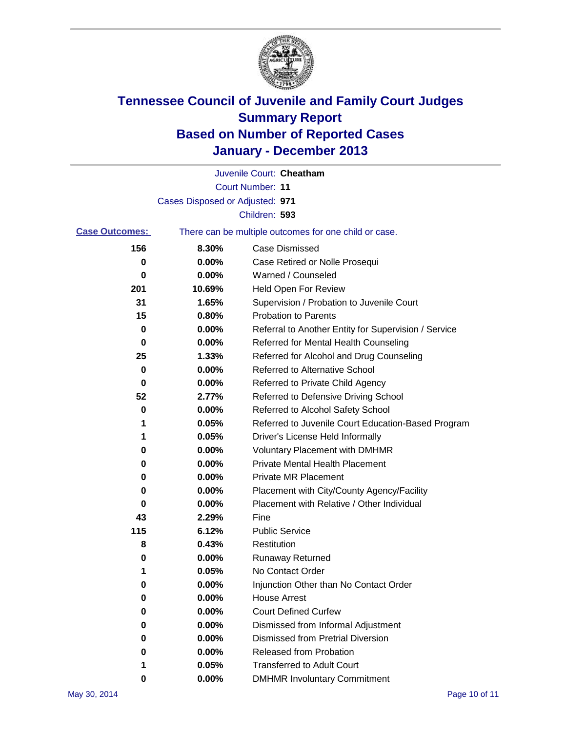

|                       |                                 | Juvenile Court: Cheatham                              |
|-----------------------|---------------------------------|-------------------------------------------------------|
|                       |                                 | <b>Court Number: 11</b>                               |
|                       | Cases Disposed or Adjusted: 971 |                                                       |
|                       |                                 | Children: 593                                         |
| <b>Case Outcomes:</b> |                                 | There can be multiple outcomes for one child or case. |
| 156                   | 8.30%                           | Case Dismissed                                        |
| 0                     | 0.00%                           | Case Retired or Nolle Prosequi                        |
| 0                     | 0.00%                           | Warned / Counseled                                    |
| 201                   | 10.69%                          | Held Open For Review                                  |
| 31                    | 1.65%                           | Supervision / Probation to Juvenile Court             |
| 15                    | 0.80%                           | <b>Probation to Parents</b>                           |
| 0                     | 0.00%                           | Referral to Another Entity for Supervision / Service  |
| 0                     | 0.00%                           | Referred for Mental Health Counseling                 |
| 25                    | 1.33%                           | Referred for Alcohol and Drug Counseling              |
| 0                     | 0.00%                           | <b>Referred to Alternative School</b>                 |
| 0                     | 0.00%                           | Referred to Private Child Agency                      |
| 52                    | 2.77%                           | Referred to Defensive Driving School                  |
| 0                     | 0.00%                           | Referred to Alcohol Safety School                     |
| 1                     | 0.05%                           | Referred to Juvenile Court Education-Based Program    |
|                       | 0.05%                           | Driver's License Held Informally                      |
| 0                     | 0.00%                           | <b>Voluntary Placement with DMHMR</b>                 |
| 0                     | 0.00%                           | <b>Private Mental Health Placement</b>                |
| 0                     | 0.00%                           | <b>Private MR Placement</b>                           |
| 0                     | 0.00%                           | Placement with City/County Agency/Facility            |
| 0                     | 0.00%                           | Placement with Relative / Other Individual            |
| 43                    | 2.29%                           | Fine                                                  |
| 115                   | 6.12%                           | <b>Public Service</b>                                 |
| 8                     | 0.43%                           | Restitution                                           |
| 0                     | 0.00%                           | <b>Runaway Returned</b>                               |
| 1                     | 0.05%                           | No Contact Order                                      |
| 0                     | 0.00%                           | Injunction Other than No Contact Order                |
| 0                     | 0.00%                           | <b>House Arrest</b>                                   |
| 0                     | 0.00%                           | <b>Court Defined Curfew</b>                           |
| 0                     | 0.00%                           | Dismissed from Informal Adjustment                    |
| 0                     | 0.00%                           | <b>Dismissed from Pretrial Diversion</b>              |
| 0                     | 0.00%                           | Released from Probation                               |
| 1                     | 0.05%                           | <b>Transferred to Adult Court</b>                     |
| 0                     | $0.00\%$                        | <b>DMHMR Involuntary Commitment</b>                   |